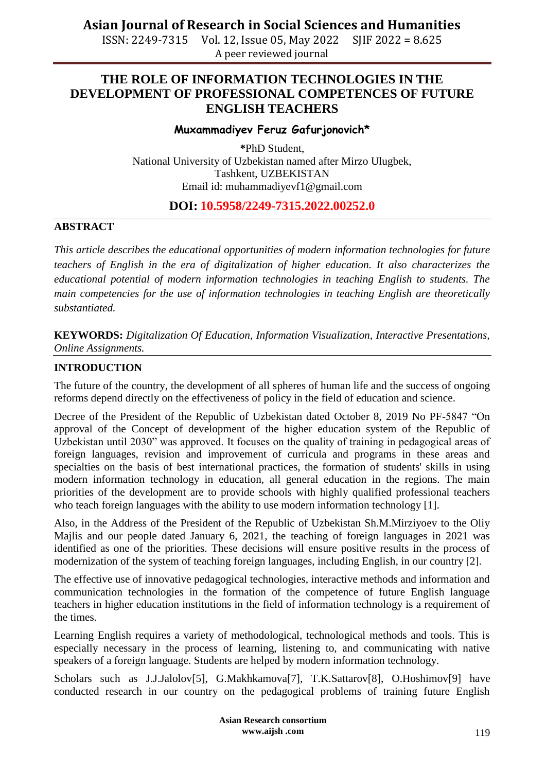**Asian Journal of Research in Social Sciences and Humanities**

ISSN: 2249-7315 Vol. 12, Issue 05, May 2022 SJIF 2022 = 8.625 A peer reviewed journal

## **THE ROLE OF INFORMATION TECHNOLOGIES IN THE DEVELOPMENT OF PROFESSIONAL COMPETENCES OF FUTURE ENGLISH TEACHERS**

#### **Muxammadiyev Feruz Gafurjonovich\***

**\***PhD Student, National University of Uzbekistan named after Mirzo Ulugbek, Tashkent, UZBEKISTAN Email id: [muhammadiyevf1@gmail.com](mailto:muhammadiyevf1@gmail.com)

### **DOI: 10.5958/2249-7315.2022.00252.0**

### **ABSTRACT**

*This article describes the educational opportunities of modern information technologies for future teachers of English in the era of digitalization of higher education. It also characterizes the educational potential of modern information technologies in teaching English to students. The main competencies for the use of information technologies in teaching English are theoretically substantiated.*

**KEYWORDS:** *Digitalization Of Education, Information Visualization, Interactive Presentations, Online Assignments.*

#### **INTRODUCTION**

The future of the country, the development of all spheres of human life and the success of ongoing reforms depend directly on the effectiveness of policy in the field of education and science.

Decree of the President of the Republic of Uzbekistan dated October 8, 2019 No PF-5847 
<sup>"</sup>On approval of the Concept of development of the higher education system of the Republic of Uzbekistan until 2030" was approved. It focuses on the quality of training in pedagogical areas of foreign languages, revision and improvement of curricula and programs in these areas and specialties on the basis of best international practices, the formation of students' skills in using modern information technology in education, all general education in the regions. The main priorities of the development are to provide schools with highly qualified professional teachers who teach foreign languages with the ability to use modern information technology [1].

Also, in the Address of the President of the Republic of Uzbekistan Sh.M.Mirziyoev to the Oliy Majlis and our people dated January 6, 2021, the teaching of foreign languages in 2021 was identified as one of the priorities. These decisions will ensure positive results in the process of modernization of the system of teaching foreign languages, including English, in our country [2].

The effective use of innovative pedagogical technologies, interactive methods and information and communication technologies in the formation of the competence of future English language teachers in higher education institutions in the field of information technology is a requirement of the times.

Learning English requires a variety of methodological, technological methods and tools. This is especially necessary in the process of learning, listening to, and communicating with native speakers of a foreign language. Students are helped by modern information technology.

Scholars such as J.J.Jalolov[5], G.Makhkamova[7], T.K.Sattarov[8], O.Hoshimov[9] have conducted research in our country on the pedagogical problems of training future English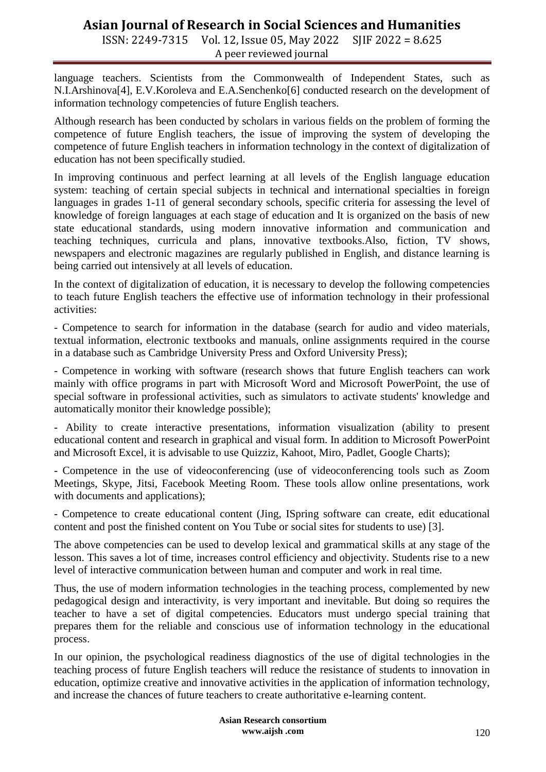# **Asian Journal of Research in Social Sciences and Humanities**

ISSN: 2249-7315 Vol. 12, Issue 05, May 2022 SJIF 2022 = 8.625 A peer reviewed journal

language teachers. Scientists from the Commonwealth of Independent States, such as N.I.Arshinova[4], E.V.Koroleva and E.A.Senchenko[6] conducted research on the development of information technology competencies of future English teachers.

Although research has been conducted by scholars in various fields on the problem of forming the competence of future English teachers, the issue of improving the system of developing the competence of future English teachers in information technology in the context of digitalization of education has not been specifically studied.

In improving continuous and perfect learning at all levels of the English language education system: teaching of certain special subjects in technical and international specialties in foreign languages in grades 1-11 of general secondary schools, specific criteria for assessing the level of knowledge of foreign languages at each stage of education and It is organized on the basis of new state educational standards, using modern innovative information and communication and teaching techniques, curricula and plans, innovative textbooks.Also, fiction, TV shows, newspapers and electronic magazines are regularly published in English, and distance learning is being carried out intensively at all levels of education.

In the context of digitalization of education, it is necessary to develop the following competencies to teach future English teachers the effective use of information technology in their professional activities:

- Competence to search for information in the database (search for audio and video materials, textual information, electronic textbooks and manuals, online assignments required in the course in a database such as Cambridge University Press and Oxford University Press);

- Competence in working with software (research shows that future English teachers can work mainly with office programs in part with Microsoft Word and Microsoft PowerPoint, the use of special software in professional activities, such as simulators to activate students' knowledge and automatically monitor their knowledge possible);

- Ability to create interactive presentations, information visualization (ability to present educational content and research in graphical and visual form. In addition to Microsoft PowerPoint and Microsoft Excel, it is advisable to use Quizziz, Kahoot, Miro, Padlet, Google Charts);

- Competence in the use of videoconferencing (use of videoconferencing tools such as Zoom Meetings, Skype, Jitsi, Facebook Meeting Room. These tools allow online presentations, work with documents and applications);

- Competence to create educational content (Jing, ISpring software can create, edit educational content and post the finished content on You Tube or social sites for students to use) [3].

The above competencies can be used to develop lexical and grammatical skills at any stage of the lesson. This saves a lot of time, increases control efficiency and objectivity. Students rise to a new level of interactive communication between human and computer and work in real time.

Thus, the use of modern information technologies in the teaching process, complemented by new pedagogical design and interactivity, is very important and inevitable. But doing so requires the teacher to have a set of digital competencies. Educators must undergo special training that prepares them for the reliable and conscious use of information technology in the educational process.

In our opinion, the psychological readiness diagnostics of the use of digital technologies in the teaching process of future English teachers will reduce the resistance of students to innovation in education, optimize creative and innovative activities in the application of information technology, and increase the chances of future teachers to create authoritative e-learning content.

> **Asian Research consortium www.aijsh .com**